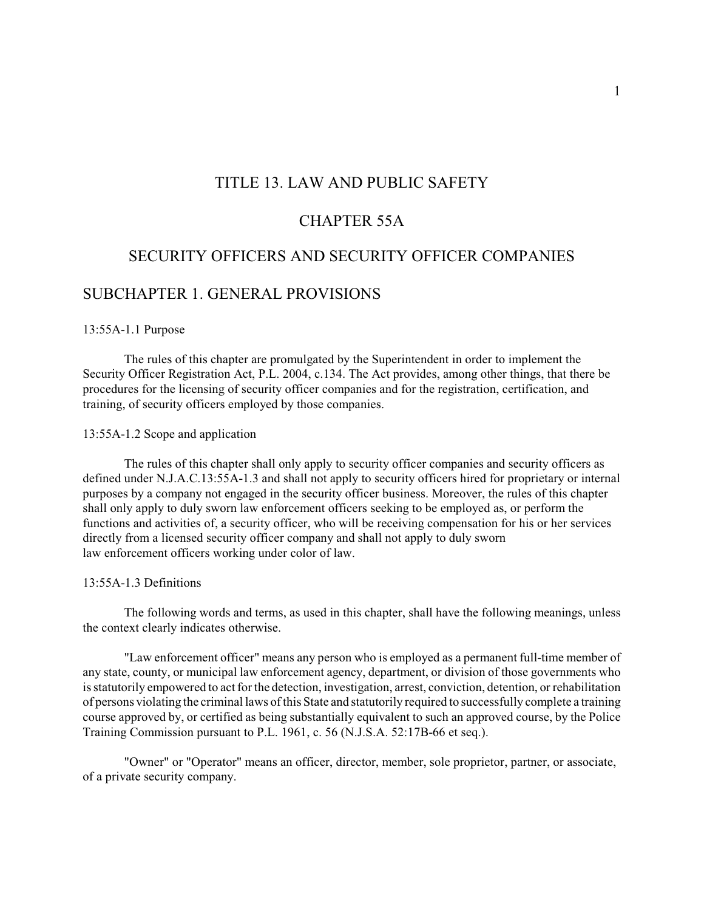# TITLE 13. LAW AND PUBLIC SAFETY

# CHAPTER 55A

# SECURITY OFFICERS AND SECURITY OFFICER COMPANIES

# SUBCHAPTER 1. GENERAL PROVISIONS

## 13:55A-1.1 Purpose

The rules of this chapter are promulgated by the Superintendent in order to implement the Security Officer Registration Act, P.L. 2004, c.134. The Act provides, among other things, that there be procedures for the licensing of security officer companies and for the registration, certification, and training, of security officers employed by those companies.

## 13:55A-1.2 Scope and application

The rules of this chapter shall only apply to security officer companies and security officers as defined under N.J.A.C.13:55A-1.3 and shall not apply to security officers hired for proprietary or internal purposes by a company not engaged in the security officer business. Moreover, the rules of this chapter shall only apply to duly sworn law enforcement officers seeking to be employed as, or perform the functions and activities of, a security officer, who will be receiving compensation for his or her services directly from a licensed security officer company and shall not apply to duly sworn law enforcement officers working under color of law.

## 13:55A-1.3 Definitions

The following words and terms, as used in this chapter, shall have the following meanings, unless the context clearly indicates otherwise.

"Law enforcement officer" means any person who is employed as a permanent full-time member of any state, county, or municipal law enforcement agency, department, or division of those governments who is statutorily empowered to act for the detection, investigation, arrest, conviction, detention, or rehabilitation of persons violating the criminal laws of this State and statutorily required to successfully complete a training course approved by, or certified as being substantially equivalent to such an approved course, by the Police Training Commission pursuant to P.L. 1961, c. 56 (N.J.S.A. 52:17B-66 et seq.).

"Owner" or "Operator" means an officer, director, member, sole proprietor, partner, or associate, of a private security company.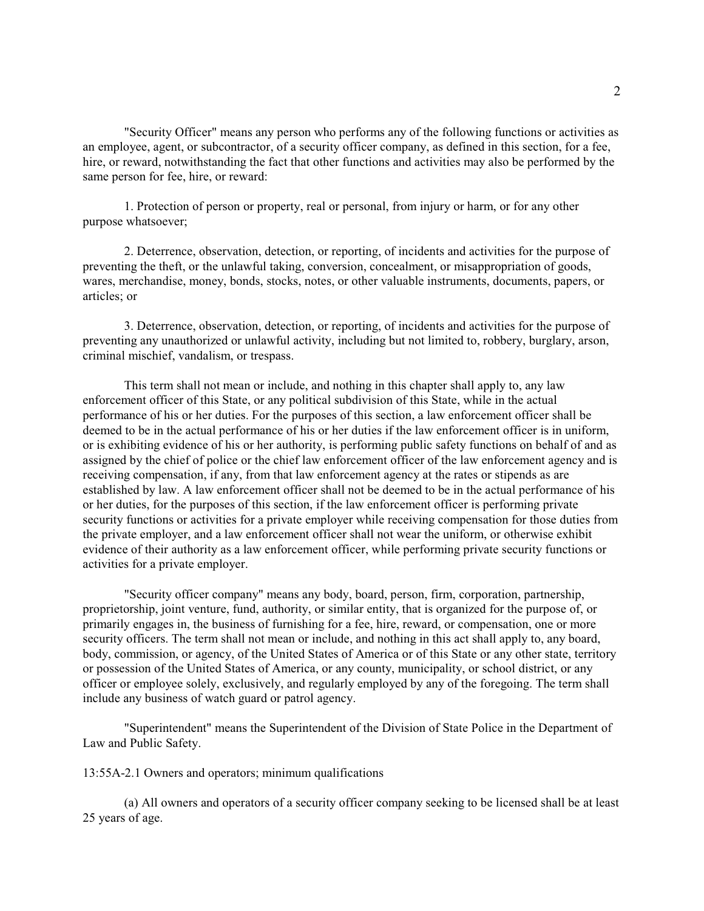"Security Officer" means any person who performs any of the following functions or activities as an employee, agent, or subcontractor, of a security officer company, as defined in this section, for a fee, hire, or reward, notwithstanding the fact that other functions and activities may also be performed by the same person for fee, hire, or reward:

1. Protection of person or property, real or personal, from injury or harm, or for any other purpose whatsoever;

2. Deterrence, observation, detection, or reporting, of incidents and activities for the purpose of preventing the theft, or the unlawful taking, conversion, concealment, or misappropriation of goods, wares, merchandise, money, bonds, stocks, notes, or other valuable instruments, documents, papers, or articles; or

3. Deterrence, observation, detection, or reporting, of incidents and activities for the purpose of preventing any unauthorized or unlawful activity, including but not limited to, robbery, burglary, arson, criminal mischief, vandalism, or trespass.

 This term shall not mean or include, and nothing in this chapter shall apply to, any law enforcement officer of this State, or any political subdivision of this State, while in the actual performance of his or her duties. For the purposes of this section, a law enforcement officer shall be deemed to be in the actual performance of his or her duties if the law enforcement officer is in uniform, or is exhibiting evidence of his or her authority, is performing public safety functions on behalf of and as assigned by the chief of police or the chief law enforcement officer of the law enforcement agency and is receiving compensation, if any, from that law enforcement agency at the rates or stipends as are established by law. A law enforcement officer shall not be deemed to be in the actual performance of his or her duties, for the purposes of this section, if the law enforcement officer is performing private security functions or activities for a private employer while receiving compensation for those duties from the private employer, and a law enforcement officer shall not wear the uniform, or otherwise exhibit evidence of their authority as a law enforcement officer, while performing private security functions or activities for a private employer.

"Security officer company" means any body, board, person, firm, corporation, partnership, proprietorship, joint venture, fund, authority, or similar entity, that is organized for the purpose of, or primarily engages in, the business of furnishing for a fee, hire, reward, or compensation, one or more security officers. The term shall not mean or include, and nothing in this act shall apply to, any board, body, commission, or agency, of the United States of America or of this State or any other state, territory or possession of the United States of America, or any county, municipality, or school district, or any officer or employee solely, exclusively, and regularly employed by any of the foregoing. The term shall include any business of watch guard or patrol agency.

"Superintendent" means the Superintendent of the Division of State Police in the Department of Law and Public Safety.

13:55A-2.1 Owners and operators; minimum qualifications

 (a) All owners and operators of a security officer company seeking to be licensed shall be at least 25 years of age.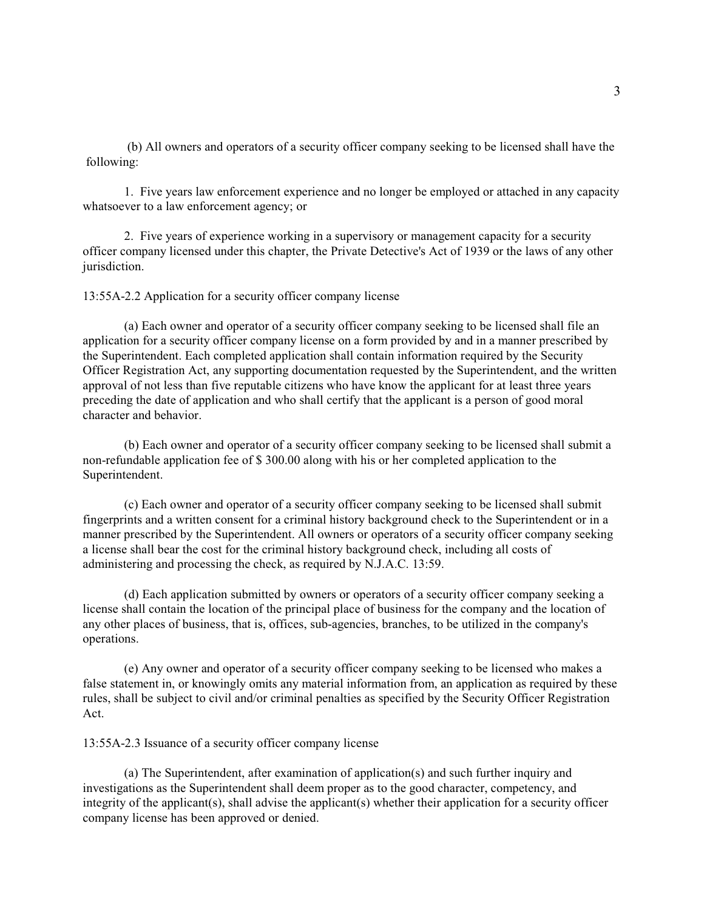(b) All owners and operators of a security officer company seeking to be licensed shall have the following:

1. Five years law enforcement experience and no longer be employed or attached in any capacity whatsoever to a law enforcement agency; or

2. Five years of experience working in a supervisory or management capacity for a security officer company licensed under this chapter, the Private Detective's Act of 1939 or the laws of any other jurisdiction.

13:55A-2.2 Application for a security officer company license

(a) Each owner and operator of a security officer company seeking to be licensed shall file an application for a security officer company license on a form provided by and in a manner prescribed by the Superintendent. Each completed application shall contain information required by the Security Officer Registration Act, any supporting documentation requested by the Superintendent, and the written approval of not less than five reputable citizens who have know the applicant for at least three years preceding the date of application and who shall certify that the applicant is a person of good moral character and behavior.

(b) Each owner and operator of a security officer company seeking to be licensed shall submit a non-refundable application fee of \$ 300.00 along with his or her completed application to the Superintendent.

(c) Each owner and operator of a security officer company seeking to be licensed shall submit fingerprints and a written consent for a criminal history background check to the Superintendent or in a manner prescribed by the Superintendent. All owners or operators of a security officer company seeking a license shall bear the cost for the criminal history background check, including all costs of administering and processing the check, as required by N.J.A.C. 13:59.

(d) Each application submitted by owners or operators of a security officer company seeking a license shall contain the location of the principal place of business for the company and the location of any other places of business, that is, offices, sub-agencies, branches, to be utilized in the company's operations.

(e) Any owner and operator of a security officer company seeking to be licensed who makes a false statement in, or knowingly omits any material information from, an application as required by these rules, shall be subject to civil and/or criminal penalties as specified by the Security Officer Registration Act.

13:55A-2.3 Issuance of a security officer company license

(a) The Superintendent, after examination of application(s) and such further inquiry and investigations as the Superintendent shall deem proper as to the good character, competency, and integrity of the applicant(s), shall advise the applicant(s) whether their application for a security officer company license has been approved or denied.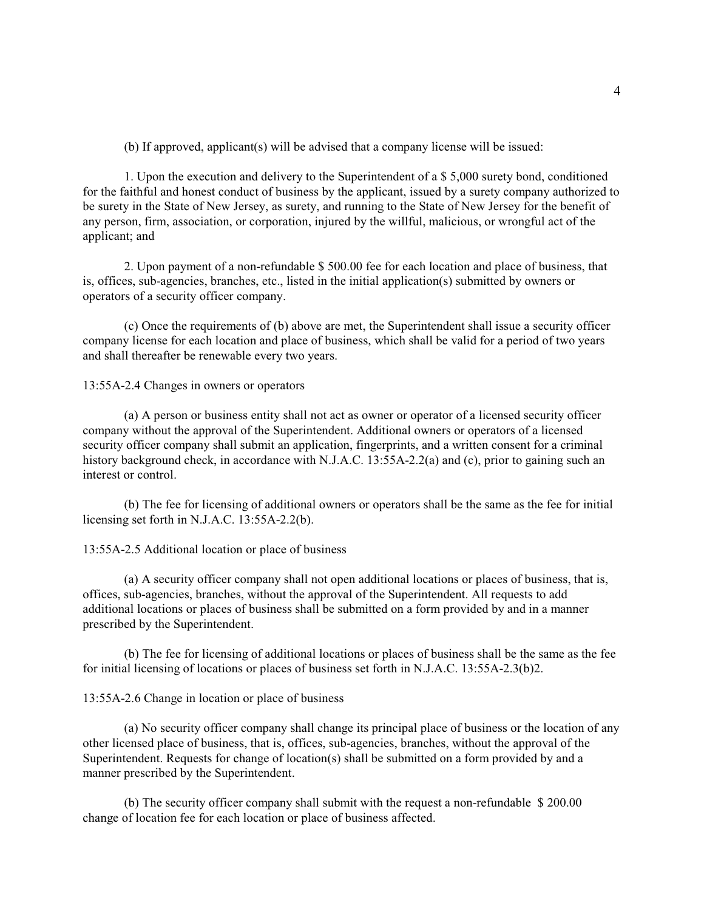(b) If approved, applicant(s) will be advised that a company license will be issued:

1. Upon the execution and delivery to the Superintendent of a \$ 5,000 surety bond, conditioned for the faithful and honest conduct of business by the applicant, issued by a surety company authorized to be surety in the State of New Jersey, as surety, and running to the State of New Jersey for the benefit of any person, firm, association, or corporation, injured by the willful, malicious, or wrongful act of the applicant; and

2. Upon payment of a non-refundable \$ 500.00 fee for each location and place of business, that is, offices, sub-agencies, branches, etc., listed in the initial application(s) submitted by owners or operators of a security officer company.

(c) Once the requirements of (b) above are met, the Superintendent shall issue a security officer company license for each location and place of business, which shall be valid for a period of two years and shall thereafter be renewable every two years.

### 13:55A-2.4 Changes in owners or operators

(a) A person or business entity shall not act as owner or operator of a licensed security officer company without the approval of the Superintendent. Additional owners or operators of a licensed security officer company shall submit an application, fingerprints, and a written consent for a criminal history background check, in accordance with N.J.A.C. 13:55A-2.2(a) and (c), prior to gaining such an interest or control.

(b) The fee for licensing of additional owners or operators shall be the same as the fee for initial licensing set forth in N.J.A.C. 13:55A-2.2(b).

#### 13:55A-2.5 Additional location or place of business

(a) A security officer company shall not open additional locations or places of business, that is, offices, sub-agencies, branches, without the approval of the Superintendent. All requests to add additional locations or places of business shall be submitted on a form provided by and in a manner prescribed by the Superintendent.

(b) The fee for licensing of additional locations or places of business shall be the same as the fee for initial licensing of locations or places of business set forth in N.J.A.C. 13:55A-2.3(b)2.

13:55A-2.6 Change in location or place of business

(a) No security officer company shall change its principal place of business or the location of any other licensed place of business, that is, offices, sub-agencies, branches, without the approval of the Superintendent. Requests for change of location(s) shall be submitted on a form provided by and a manner prescribed by the Superintendent.

(b) The security officer company shall submit with the request a non-refundable \$ 200.00 change of location fee for each location or place of business affected.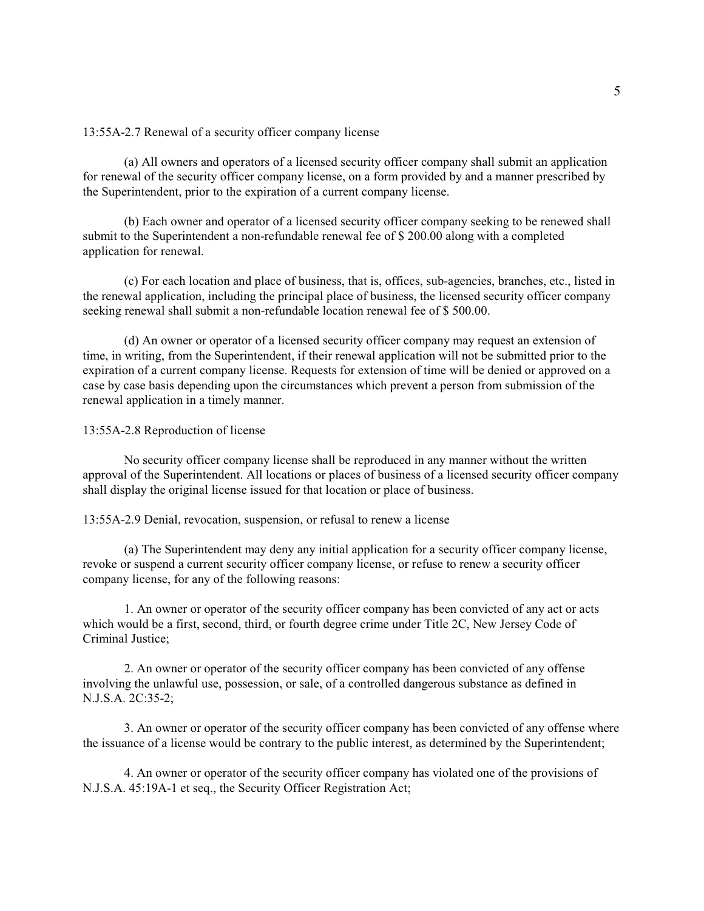13:55A-2.7 Renewal of a security officer company license

(a) All owners and operators of a licensed security officer company shall submit an application for renewal of the security officer company license, on a form provided by and a manner prescribed by the Superintendent, prior to the expiration of a current company license.

(b) Each owner and operator of a licensed security officer company seeking to be renewed shall submit to the Superintendent a non-refundable renewal fee of \$ 200.00 along with a completed application for renewal.

(c) For each location and place of business, that is, offices, sub-agencies, branches, etc., listed in the renewal application, including the principal place of business, the licensed security officer company seeking renewal shall submit a non-refundable location renewal fee of \$ 500.00.

(d) An owner or operator of a licensed security officer company may request an extension of time, in writing, from the Superintendent, if their renewal application will not be submitted prior to the expiration of a current company license. Requests for extension of time will be denied or approved on a case by case basis depending upon the circumstances which prevent a person from submission of the renewal application in a timely manner.

# 13:55A-2.8 Reproduction of license

No security officer company license shall be reproduced in any manner without the written approval of the Superintendent. All locations or places of business of a licensed security officer company shall display the original license issued for that location or place of business.

13:55A-2.9 Denial, revocation, suspension, or refusal to renew a license

(a) The Superintendent may deny any initial application for a security officer company license, revoke or suspend a current security officer company license, or refuse to renew a security officer company license, for any of the following reasons:

1. An owner or operator of the security officer company has been convicted of any act or acts which would be a first, second, third, or fourth degree crime under Title 2C, New Jersey Code of Criminal Justice;

2. An owner or operator of the security officer company has been convicted of any offense involving the unlawful use, possession, or sale, of a controlled dangerous substance as defined in N.J.S.A. 2C:35-2;

3. An owner or operator of the security officer company has been convicted of any offense where the issuance of a license would be contrary to the public interest, as determined by the Superintendent;

4. An owner or operator of the security officer company has violated one of the provisions of N.J.S.A. 45:19A-1 et seq., the Security Officer Registration Act;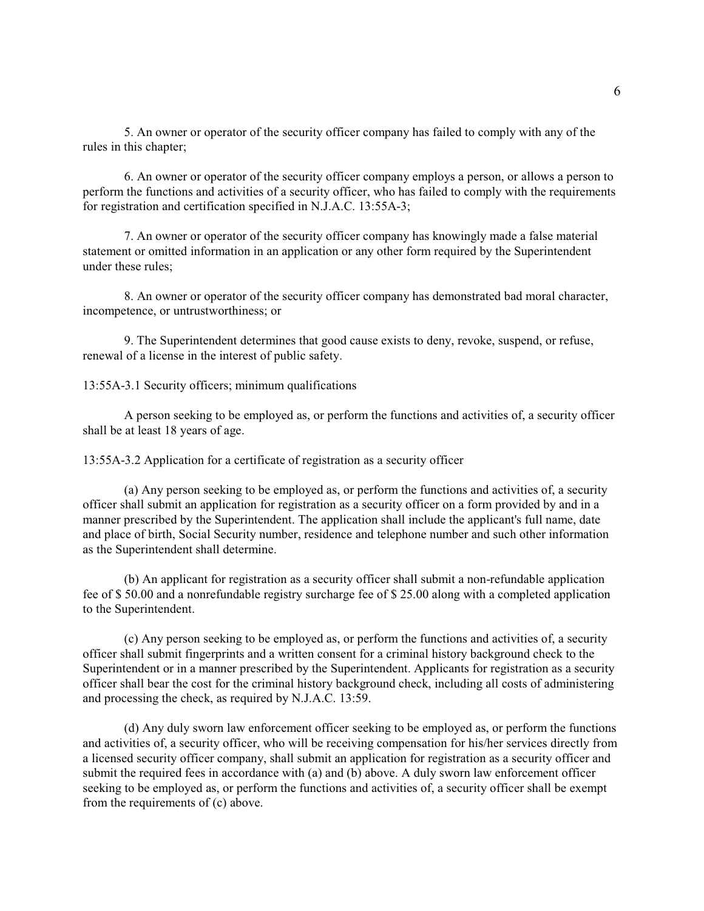5. An owner or operator of the security officer company has failed to comply with any of the rules in this chapter;

6. An owner or operator of the security officer company employs a person, or allows a person to perform the functions and activities of a security officer, who has failed to comply with the requirements for registration and certification specified in N.J.A.C. 13:55A-3;

7. An owner or operator of the security officer company has knowingly made a false material statement or omitted information in an application or any other form required by the Superintendent under these rules;

8. An owner or operator of the security officer company has demonstrated bad moral character, incompetence, or untrustworthiness; or

9. The Superintendent determines that good cause exists to deny, revoke, suspend, or refuse, renewal of a license in the interest of public safety.

13:55A-3.1 Security officers; minimum qualifications

A person seeking to be employed as, or perform the functions and activities of, a security officer shall be at least 18 years of age.

13:55A-3.2 Application for a certificate of registration as a security officer

(a) Any person seeking to be employed as, or perform the functions and activities of, a security officer shall submit an application for registration as a security officer on a form provided by and in a manner prescribed by the Superintendent. The application shall include the applicant's full name, date and place of birth, Social Security number, residence and telephone number and such other information as the Superintendent shall determine.

(b) An applicant for registration as a security officer shall submit a non-refundable application fee of \$ 50.00 and a nonrefundable registry surcharge fee of \$ 25.00 along with a completed application to the Superintendent.

(c) Any person seeking to be employed as, or perform the functions and activities of, a security officer shall submit fingerprints and a written consent for a criminal history background check to the Superintendent or in a manner prescribed by the Superintendent. Applicants for registration as a security officer shall bear the cost for the criminal history background check, including all costs of administering and processing the check, as required by N.J.A.C. 13:59.

(d) Any duly sworn law enforcement officer seeking to be employed as, or perform the functions and activities of, a security officer, who will be receiving compensation for his/her services directly from a licensed security officer company, shall submit an application for registration as a security officer and submit the required fees in accordance with (a) and (b) above. A duly sworn law enforcement officer seeking to be employed as, or perform the functions and activities of, a security officer shall be exempt from the requirements of (c) above.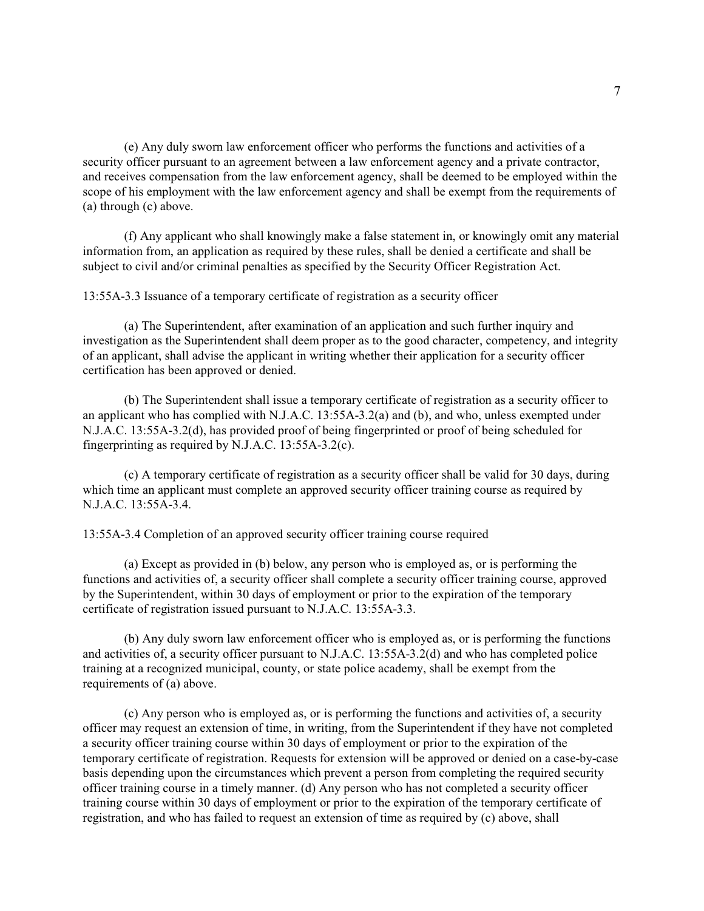(e) Any duly sworn law enforcement officer who performs the functions and activities of a security officer pursuant to an agreement between a law enforcement agency and a private contractor, and receives compensation from the law enforcement agency, shall be deemed to be employed within the scope of his employment with the law enforcement agency and shall be exempt from the requirements of (a) through (c) above.

(f) Any applicant who shall knowingly make a false statement in, or knowingly omit any material information from, an application as required by these rules, shall be denied a certificate and shall be subject to civil and/or criminal penalties as specified by the Security Officer Registration Act.

13:55A-3.3 Issuance of a temporary certificate of registration as a security officer

(a) The Superintendent, after examination of an application and such further inquiry and investigation as the Superintendent shall deem proper as to the good character, competency, and integrity of an applicant, shall advise the applicant in writing whether their application for a security officer certification has been approved or denied.

(b) The Superintendent shall issue a temporary certificate of registration as a security officer to an applicant who has complied with N.J.A.C. 13:55A-3.2(a) and (b), and who, unless exempted under N.J.A.C. 13:55A-3.2(d), has provided proof of being fingerprinted or proof of being scheduled for fingerprinting as required by N.J.A.C. 13:55A-3.2(c).

(c) A temporary certificate of registration as a security officer shall be valid for 30 days, during which time an applicant must complete an approved security officer training course as required by N.J.A.C. 13:55A-3.4.

13:55A-3.4 Completion of an approved security officer training course required

(a) Except as provided in (b) below, any person who is employed as, or is performing the functions and activities of, a security officer shall complete a security officer training course, approved by the Superintendent, within 30 days of employment or prior to the expiration of the temporary certificate of registration issued pursuant to N.J.A.C. 13:55A-3.3.

(b) Any duly sworn law enforcement officer who is employed as, or is performing the functions and activities of, a security officer pursuant to N.J.A.C. 13:55A-3.2(d) and who has completed police training at a recognized municipal, county, or state police academy, shall be exempt from the requirements of (a) above.

(c) Any person who is employed as, or is performing the functions and activities of, a security officer may request an extension of time, in writing, from the Superintendent if they have not completed a security officer training course within 30 days of employment or prior to the expiration of the temporary certificate of registration. Requests for extension will be approved or denied on a case-by-case basis depending upon the circumstances which prevent a person from completing the required security officer training course in a timely manner. (d) Any person who has not completed a security officer training course within 30 days of employment or prior to the expiration of the temporary certificate of registration, and who has failed to request an extension of time as required by (c) above, shall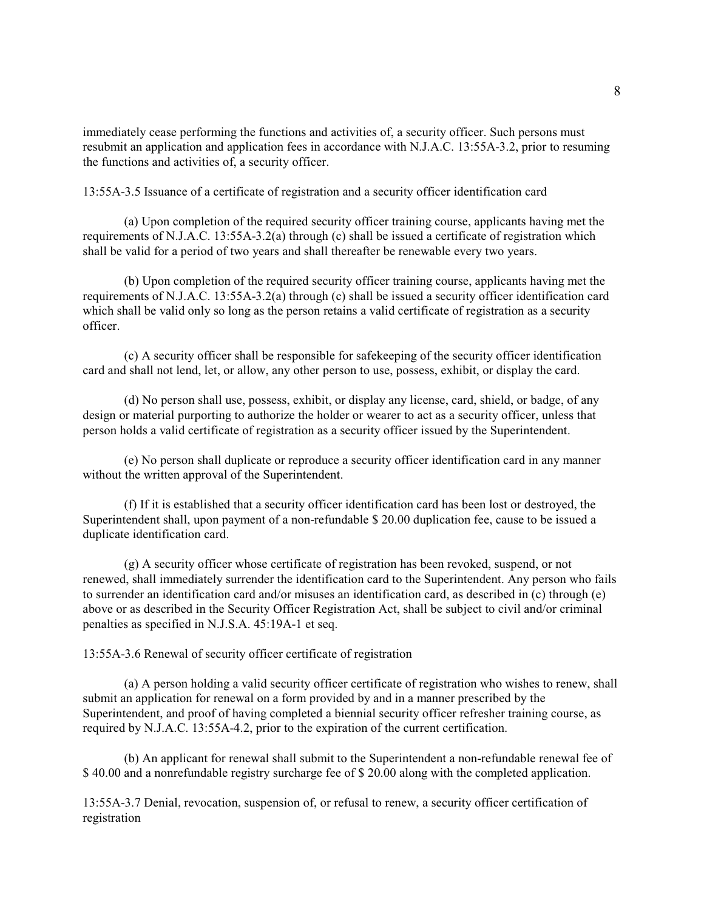immediately cease performing the functions and activities of, a security officer. Such persons must resubmit an application and application fees in accordance with N.J.A.C. 13:55A-3.2, prior to resuming the functions and activities of, a security officer.

13:55A-3.5 Issuance of a certificate of registration and a security officer identification card

(a) Upon completion of the required security officer training course, applicants having met the requirements of N.J.A.C. 13:55A-3.2(a) through (c) shall be issued a certificate of registration which shall be valid for a period of two years and shall thereafter be renewable every two years.

(b) Upon completion of the required security officer training course, applicants having met the requirements of N.J.A.C. 13:55A-3.2(a) through (c) shall be issued a security officer identification card which shall be valid only so long as the person retains a valid certificate of registration as a security officer.

(c) A security officer shall be responsible for safekeeping of the security officer identification card and shall not lend, let, or allow, any other person to use, possess, exhibit, or display the card.

(d) No person shall use, possess, exhibit, or display any license, card, shield, or badge, of any design or material purporting to authorize the holder or wearer to act as a security officer, unless that person holds a valid certificate of registration as a security officer issued by the Superintendent.

(e) No person shall duplicate or reproduce a security officer identification card in any manner without the written approval of the Superintendent.

(f) If it is established that a security officer identification card has been lost or destroyed, the Superintendent shall, upon payment of a non-refundable \$ 20.00 duplication fee, cause to be issued a duplicate identification card.

(g) A security officer whose certificate of registration has been revoked, suspend, or not renewed, shall immediately surrender the identification card to the Superintendent. Any person who fails to surrender an identification card and/or misuses an identification card, as described in (c) through (e) above or as described in the Security Officer Registration Act, shall be subject to civil and/or criminal penalties as specified in N.J.S.A. 45:19A-1 et seq.

13:55A-3.6 Renewal of security officer certificate of registration

(a) A person holding a valid security officer certificate of registration who wishes to renew, shall submit an application for renewal on a form provided by and in a manner prescribed by the Superintendent, and proof of having completed a biennial security officer refresher training course, as required by N.J.A.C. 13:55A-4.2, prior to the expiration of the current certification.

(b) An applicant for renewal shall submit to the Superintendent a non-refundable renewal fee of \$ 40.00 and a nonrefundable registry surcharge fee of \$ 20.00 along with the completed application.

13:55A-3.7 Denial, revocation, suspension of, or refusal to renew, a security officer certification of registration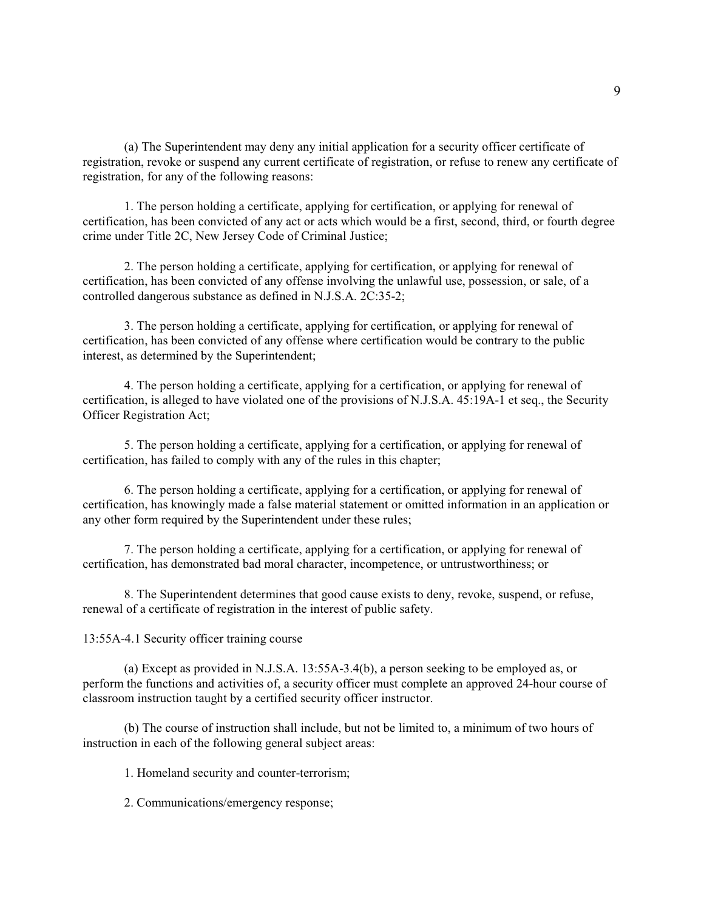(a) The Superintendent may deny any initial application for a security officer certificate of registration, revoke or suspend any current certificate of registration, or refuse to renew any certificate of registration, for any of the following reasons:

1. The person holding a certificate, applying for certification, or applying for renewal of certification, has been convicted of any act or acts which would be a first, second, third, or fourth degree crime under Title 2C, New Jersey Code of Criminal Justice;

2. The person holding a certificate, applying for certification, or applying for renewal of certification, has been convicted of any offense involving the unlawful use, possession, or sale, of a controlled dangerous substance as defined in N.J.S.A. 2C:35-2;

3. The person holding a certificate, applying for certification, or applying for renewal of certification, has been convicted of any offense where certification would be contrary to the public interest, as determined by the Superintendent;

4. The person holding a certificate, applying for a certification, or applying for renewal of certification, is alleged to have violated one of the provisions of N.J.S.A. 45:19A-1 et seq., the Security Officer Registration Act;

5. The person holding a certificate, applying for a certification, or applying for renewal of certification, has failed to comply with any of the rules in this chapter;

6. The person holding a certificate, applying for a certification, or applying for renewal of certification, has knowingly made a false material statement or omitted information in an application or any other form required by the Superintendent under these rules;

7. The person holding a certificate, applying for a certification, or applying for renewal of certification, has demonstrated bad moral character, incompetence, or untrustworthiness; or

8. The Superintendent determines that good cause exists to deny, revoke, suspend, or refuse, renewal of a certificate of registration in the interest of public safety.

13:55A-4.1 Security officer training course

(a) Except as provided in N.J.S.A. 13:55A-3.4(b), a person seeking to be employed as, or perform the functions and activities of, a security officer must complete an approved 24-hour course of classroom instruction taught by a certified security officer instructor.

(b) The course of instruction shall include, but not be limited to, a minimum of two hours of instruction in each of the following general subject areas:

1. Homeland security and counter-terrorism;

2. Communications/emergency response;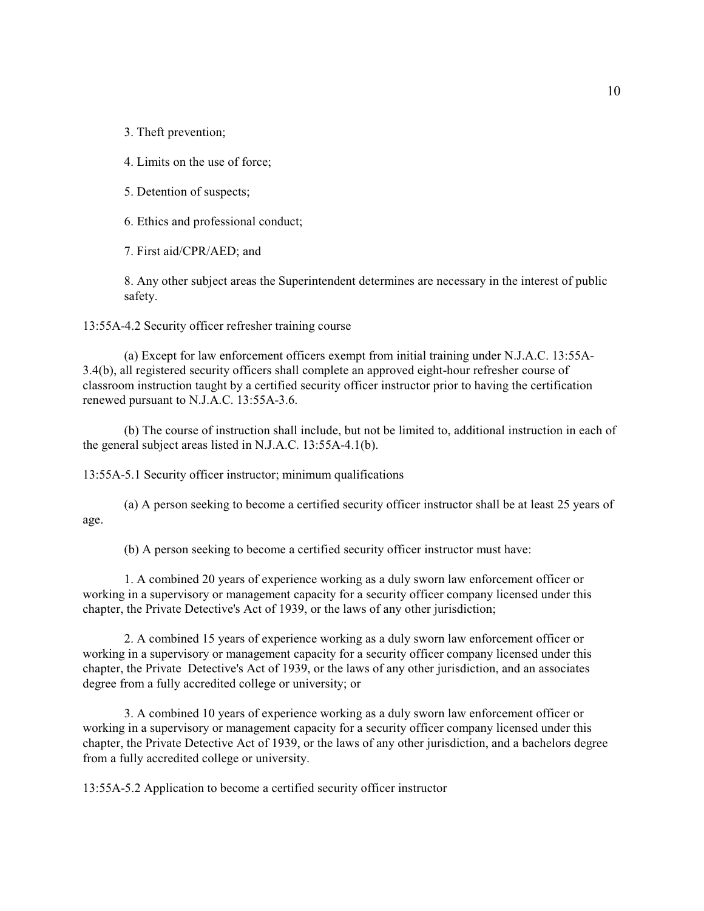3. Theft prevention;

4. Limits on the use of force;

5. Detention of suspects;

6. Ethics and professional conduct;

7. First aid/CPR/AED; and

8. Any other subject areas the Superintendent determines are necessary in the interest of public safety.

13:55A-4.2 Security officer refresher training course

(a) Except for law enforcement officers exempt from initial training under N.J.A.C. 13:55A-3.4(b), all registered security officers shall complete an approved eight-hour refresher course of classroom instruction taught by a certified security officer instructor prior to having the certification renewed pursuant to N.J.A.C. 13:55A-3.6.

(b) The course of instruction shall include, but not be limited to, additional instruction in each of the general subject areas listed in N.J.A.C. 13:55A-4.1(b).

13:55A-5.1 Security officer instructor; minimum qualifications

(a) A person seeking to become a certified security officer instructor shall be at least 25 years of age.

(b) A person seeking to become a certified security officer instructor must have:

1. A combined 20 years of experience working as a duly sworn law enforcement officer or working in a supervisory or management capacity for a security officer company licensed under this chapter, the Private Detective's Act of 1939, or the laws of any other jurisdiction;

2. A combined 15 years of experience working as a duly sworn law enforcement officer or working in a supervisory or management capacity for a security officer company licensed under this chapter, the Private Detective's Act of 1939, or the laws of any other jurisdiction, and an associates degree from a fully accredited college or university; or

3. A combined 10 years of experience working as a duly sworn law enforcement officer or working in a supervisory or management capacity for a security officer company licensed under this chapter, the Private Detective Act of 1939, or the laws of any other jurisdiction, and a bachelors degree from a fully accredited college or university.

13:55A-5.2 Application to become a certified security officer instructor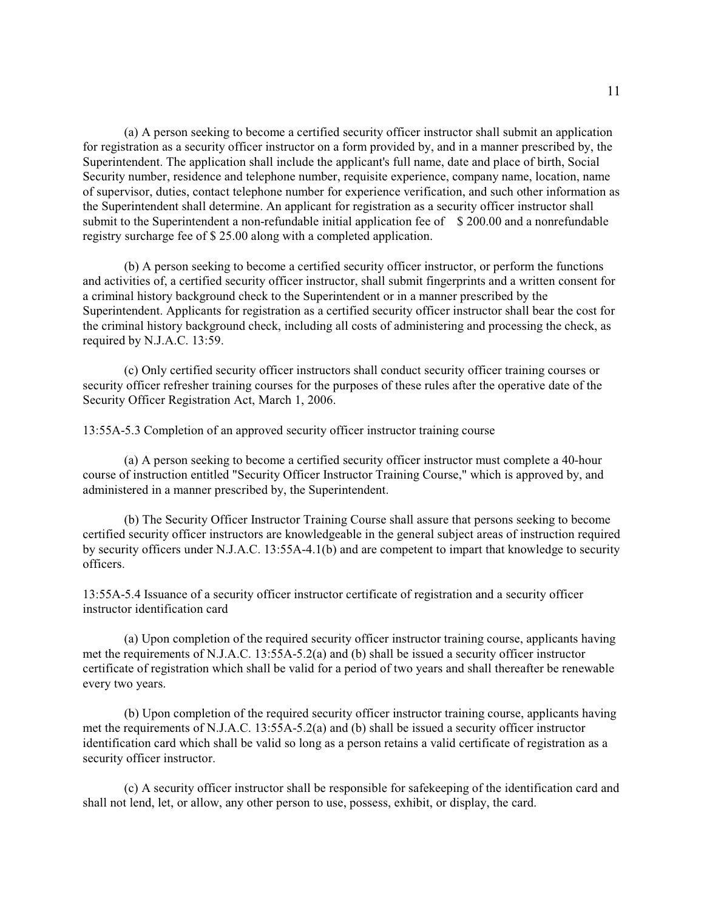(a) A person seeking to become a certified security officer instructor shall submit an application for registration as a security officer instructor on a form provided by, and in a manner prescribed by, the Superintendent. The application shall include the applicant's full name, date and place of birth, Social Security number, residence and telephone number, requisite experience, company name, location, name of supervisor, duties, contact telephone number for experience verification, and such other information as the Superintendent shall determine. An applicant for registration as a security officer instructor shall submit to the Superintendent a non-refundable initial application fee of \$200.00 and a nonrefundable registry surcharge fee of \$ 25.00 along with a completed application.

(b) A person seeking to become a certified security officer instructor, or perform the functions and activities of, a certified security officer instructor, shall submit fingerprints and a written consent for a criminal history background check to the Superintendent or in a manner prescribed by the Superintendent. Applicants for registration as a certified security officer instructor shall bear the cost for the criminal history background check, including all costs of administering and processing the check, as required by N.J.A.C. 13:59.

(c) Only certified security officer instructors shall conduct security officer training courses or security officer refresher training courses for the purposes of these rules after the operative date of the Security Officer Registration Act, March 1, 2006.

13:55A-5.3 Completion of an approved security officer instructor training course

(a) A person seeking to become a certified security officer instructor must complete a 40-hour course of instruction entitled "Security Officer Instructor Training Course," which is approved by, and administered in a manner prescribed by, the Superintendent.

(b) The Security Officer Instructor Training Course shall assure that persons seeking to become certified security officer instructors are knowledgeable in the general subject areas of instruction required by security officers under N.J.A.C. 13:55A-4.1(b) and are competent to impart that knowledge to security officers.

13:55A-5.4 Issuance of a security officer instructor certificate of registration and a security officer instructor identification card

(a) Upon completion of the required security officer instructor training course, applicants having met the requirements of N.J.A.C. 13:55A-5.2(a) and (b) shall be issued a security officer instructor certificate of registration which shall be valid for a period of two years and shall thereafter be renewable every two years.

(b) Upon completion of the required security officer instructor training course, applicants having met the requirements of N.J.A.C. 13:55A-5.2(a) and (b) shall be issued a security officer instructor identification card which shall be valid so long as a person retains a valid certificate of registration as a security officer instructor.

(c) A security officer instructor shall be responsible for safekeeping of the identification card and shall not lend, let, or allow, any other person to use, possess, exhibit, or display, the card.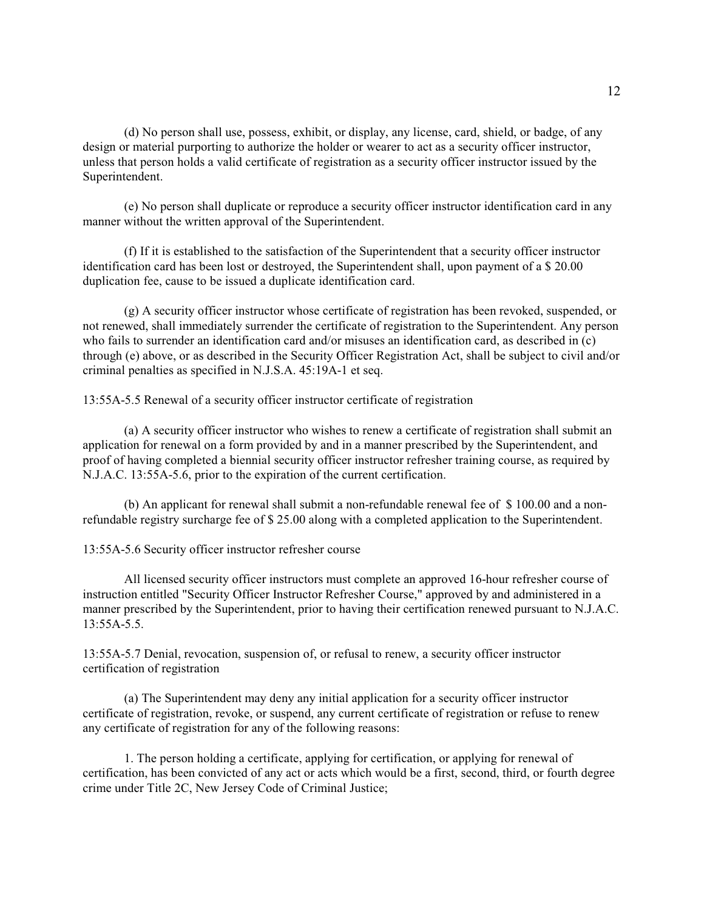(d) No person shall use, possess, exhibit, or display, any license, card, shield, or badge, of any design or material purporting to authorize the holder or wearer to act as a security officer instructor, unless that person holds a valid certificate of registration as a security officer instructor issued by the Superintendent.

(e) No person shall duplicate or reproduce a security officer instructor identification card in any manner without the written approval of the Superintendent.

(f) If it is established to the satisfaction of the Superintendent that a security officer instructor identification card has been lost or destroyed, the Superintendent shall, upon payment of a \$ 20.00 duplication fee, cause to be issued a duplicate identification card.

(g) A security officer instructor whose certificate of registration has been revoked, suspended, or not renewed, shall immediately surrender the certificate of registration to the Superintendent. Any person who fails to surrender an identification card and/or misuses an identification card, as described in (c) through (e) above, or as described in the Security Officer Registration Act, shall be subject to civil and/or criminal penalties as specified in N.J.S.A. 45:19A-1 et seq.

13:55A-5.5 Renewal of a security officer instructor certificate of registration

(a) A security officer instructor who wishes to renew a certificate of registration shall submit an application for renewal on a form provided by and in a manner prescribed by the Superintendent, and proof of having completed a biennial security officer instructor refresher training course, as required by N.J.A.C. 13:55A-5.6, prior to the expiration of the current certification.

(b) An applicant for renewal shall submit a non-refundable renewal fee of \$ 100.00 and a nonrefundable registry surcharge fee of \$ 25.00 along with a completed application to the Superintendent.

13:55A-5.6 Security officer instructor refresher course

All licensed security officer instructors must complete an approved 16-hour refresher course of instruction entitled "Security Officer Instructor Refresher Course," approved by and administered in a manner prescribed by the Superintendent, prior to having their certification renewed pursuant to N.J.A.C. 13:55A-5.5.

13:55A-5.7 Denial, revocation, suspension of, or refusal to renew, a security officer instructor certification of registration

(a) The Superintendent may deny any initial application for a security officer instructor certificate of registration, revoke, or suspend, any current certificate of registration or refuse to renew any certificate of registration for any of the following reasons:

1. The person holding a certificate, applying for certification, or applying for renewal of certification, has been convicted of any act or acts which would be a first, second, third, or fourth degree crime under Title 2C, New Jersey Code of Criminal Justice;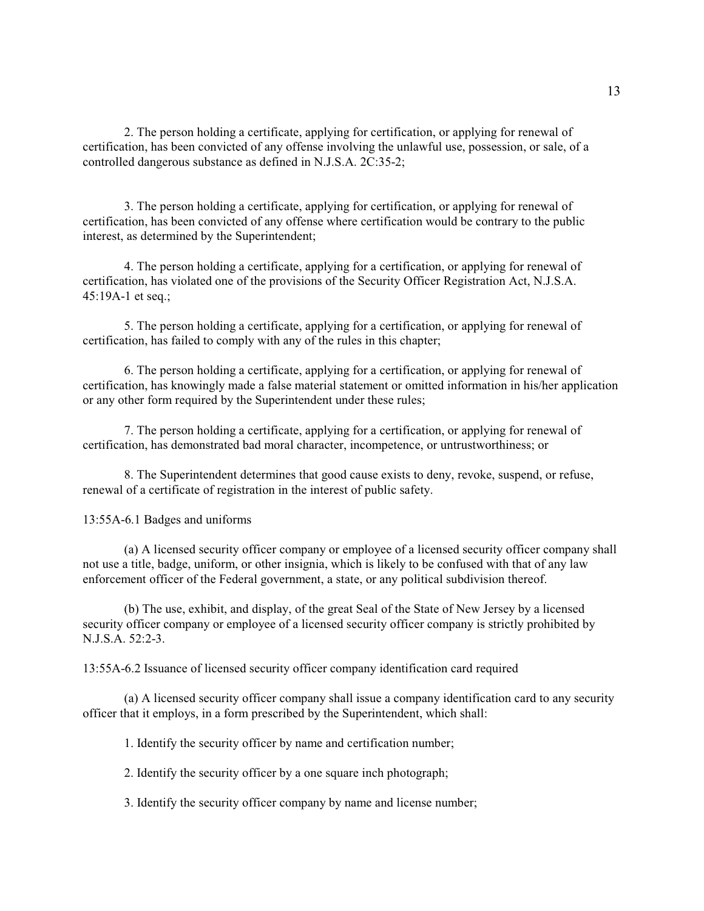2. The person holding a certificate, applying for certification, or applying for renewal of certification, has been convicted of any offense involving the unlawful use, possession, or sale, of a controlled dangerous substance as defined in N.J.S.A. 2C:35-2;

3. The person holding a certificate, applying for certification, or applying for renewal of certification, has been convicted of any offense where certification would be contrary to the public interest, as determined by the Superintendent;

4. The person holding a certificate, applying for a certification, or applying for renewal of certification, has violated one of the provisions of the Security Officer Registration Act, N.J.S.A. 45:19A-1 et seq.;

5. The person holding a certificate, applying for a certification, or applying for renewal of certification, has failed to comply with any of the rules in this chapter;

6. The person holding a certificate, applying for a certification, or applying for renewal of certification, has knowingly made a false material statement or omitted information in his/her application or any other form required by the Superintendent under these rules;

7. The person holding a certificate, applying for a certification, or applying for renewal of certification, has demonstrated bad moral character, incompetence, or untrustworthiness; or

8. The Superintendent determines that good cause exists to deny, revoke, suspend, or refuse, renewal of a certificate of registration in the interest of public safety.

13:55A-6.1 Badges and uniforms

(a) A licensed security officer company or employee of a licensed security officer company shall not use a title, badge, uniform, or other insignia, which is likely to be confused with that of any law enforcement officer of the Federal government, a state, or any political subdivision thereof.

(b) The use, exhibit, and display, of the great Seal of the State of New Jersey by a licensed security officer company or employee of a licensed security officer company is strictly prohibited by N.J.S.A. 52:2-3.

13:55A-6.2 Issuance of licensed security officer company identification card required

(a) A licensed security officer company shall issue a company identification card to any security officer that it employs, in a form prescribed by the Superintendent, which shall:

1. Identify the security officer by name and certification number;

2. Identify the security officer by a one square inch photograph;

3. Identify the security officer company by name and license number;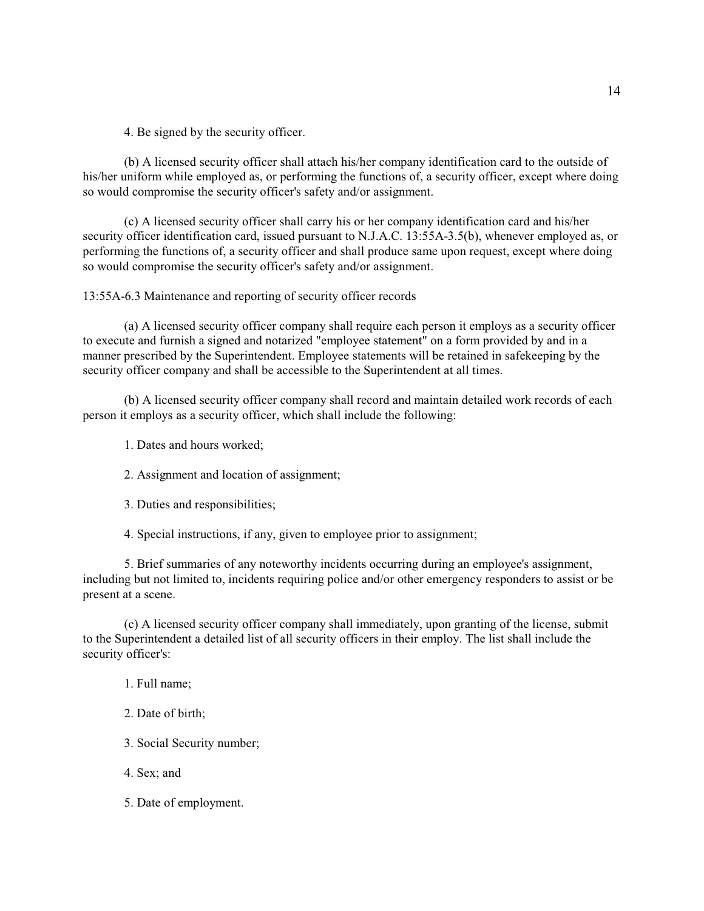4. Be signed by the security officer.

(b) A licensed security officer shall attach his/her company identification card to the outside of his/her uniform while employed as, or performing the functions of, a security officer, except where doing so would compromise the security officer's safety and/or assignment.

(c) A licensed security officer shall carry his or her company identification card and his/her security officer identification card, issued pursuant to N.J.A.C. 13:55A-3.5(b), whenever employed as, or performing the functions of, a security officer and shall produce same upon request, except where doing so would compromise the security officer's safety and/or assignment.

13:55A-6.3 Maintenance and reporting of security officer records

(a) A licensed security officer company shall require each person it employs as a security officer to execute and furnish a signed and notarized "employee statement" on a form provided by and in a manner prescribed by the Superintendent. Employee statements will be retained in safekeeping by the security officer company and shall be accessible to the Superintendent at all times.

(b) A licensed security officer company shall record and maintain detailed work records of each person it employs as a security officer, which shall include the following:

1. Dates and hours worked;

2. Assignment and location of assignment;

3. Duties and responsibilities;

4. Special instructions, if any, given to employee prior to assignment;

5. Brief summaries of any noteworthy incidents occurring during an employee's assignment, including but not limited to, incidents requiring police and/or other emergency responders to assist or be present at a scene.

(c) A licensed security officer company shall immediately, upon granting of the license, submit to the Superintendent a detailed list of all security officers in their employ. The list shall include the security officer's:

1. Full name;

2. Date of birth;

3. Social Security number;

4. Sex; and

5. Date of employment.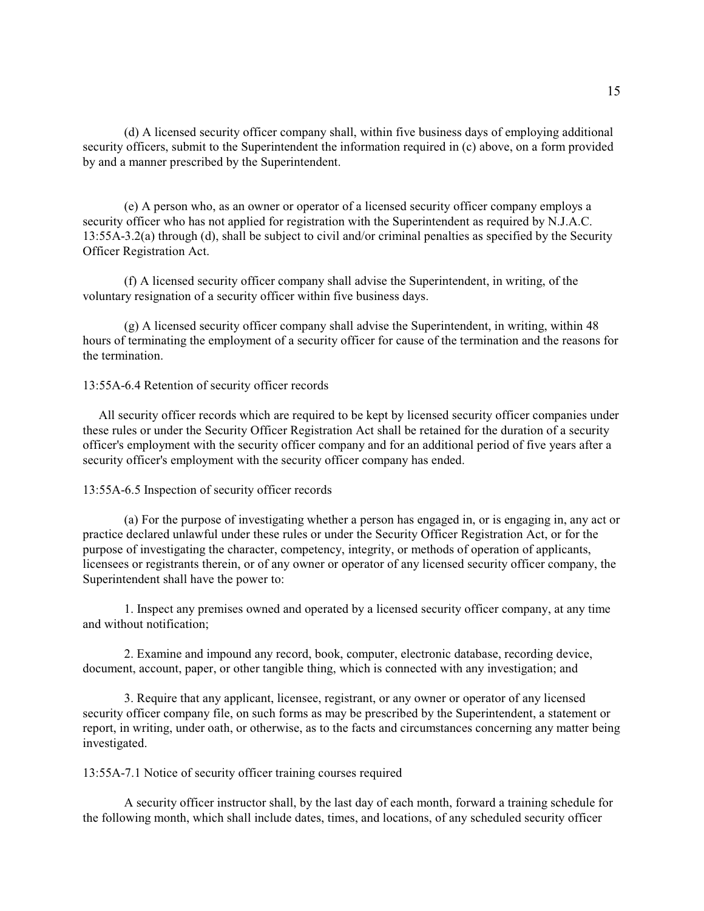(d) A licensed security officer company shall, within five business days of employing additional security officers, submit to the Superintendent the information required in (c) above, on a form provided by and a manner prescribed by the Superintendent.

(e) A person who, as an owner or operator of a licensed security officer company employs a security officer who has not applied for registration with the Superintendent as required by N.J.A.C. 13:55A-3.2(a) through (d), shall be subject to civil and/or criminal penalties as specified by the Security Officer Registration Act.

(f) A licensed security officer company shall advise the Superintendent, in writing, of the voluntary resignation of a security officer within five business days.

(g) A licensed security officer company shall advise the Superintendent, in writing, within 48 hours of terminating the employment of a security officer for cause of the termination and the reasons for the termination.

#### 13:55A-6.4 Retention of security officer records

 All security officer records which are required to be kept by licensed security officer companies under these rules or under the Security Officer Registration Act shall be retained for the duration of a security officer's employment with the security officer company and for an additional period of five years after a security officer's employment with the security officer company has ended.

#### 13:55A-6.5 Inspection of security officer records

(a) For the purpose of investigating whether a person has engaged in, or is engaging in, any act or practice declared unlawful under these rules or under the Security Officer Registration Act, or for the purpose of investigating the character, competency, integrity, or methods of operation of applicants, licensees or registrants therein, or of any owner or operator of any licensed security officer company, the Superintendent shall have the power to:

1. Inspect any premises owned and operated by a licensed security officer company, at any time and without notification;

2. Examine and impound any record, book, computer, electronic database, recording device, document, account, paper, or other tangible thing, which is connected with any investigation; and

3. Require that any applicant, licensee, registrant, or any owner or operator of any licensed security officer company file, on such forms as may be prescribed by the Superintendent, a statement or report, in writing, under oath, or otherwise, as to the facts and circumstances concerning any matter being investigated.

## 13:55A-7.1 Notice of security officer training courses required

A security officer instructor shall, by the last day of each month, forward a training schedule for the following month, which shall include dates, times, and locations, of any scheduled security officer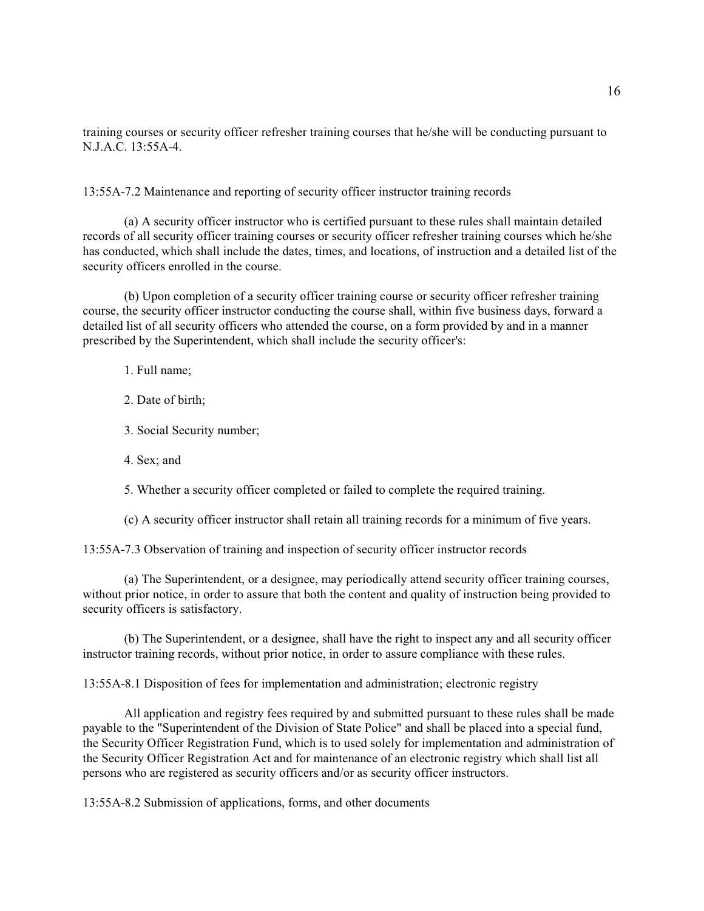training courses or security officer refresher training courses that he/she will be conducting pursuant to N.J.A.C. 13:55A-4.

13:55A-7.2 Maintenance and reporting of security officer instructor training records

(a) A security officer instructor who is certified pursuant to these rules shall maintain detailed records of all security officer training courses or security officer refresher training courses which he/she has conducted, which shall include the dates, times, and locations, of instruction and a detailed list of the security officers enrolled in the course.

(b) Upon completion of a security officer training course or security officer refresher training course, the security officer instructor conducting the course shall, within five business days, forward a detailed list of all security officers who attended the course, on a form provided by and in a manner prescribed by the Superintendent, which shall include the security officer's:

- 1. Full name;
- 2. Date of birth;
- 3. Social Security number;
- 4. Sex; and

5. Whether a security officer completed or failed to complete the required training.

(c) A security officer instructor shall retain all training records for a minimum of five years.

13:55A-7.3 Observation of training and inspection of security officer instructor records

(a) The Superintendent, or a designee, may periodically attend security officer training courses, without prior notice, in order to assure that both the content and quality of instruction being provided to security officers is satisfactory.

(b) The Superintendent, or a designee, shall have the right to inspect any and all security officer instructor training records, without prior notice, in order to assure compliance with these rules.

13:55A-8.1 Disposition of fees for implementation and administration; electronic registry

All application and registry fees required by and submitted pursuant to these rules shall be made payable to the "Superintendent of the Division of State Police" and shall be placed into a special fund, the Security Officer Registration Fund, which is to used solely for implementation and administration of the Security Officer Registration Act and for maintenance of an electronic registry which shall list all persons who are registered as security officers and/or as security officer instructors.

13:55A-8.2 Submission of applications, forms, and other documents